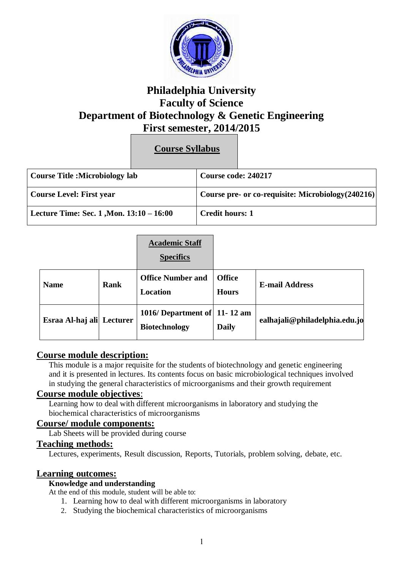

# **Philadelphia University Faculty of Science Department of Biotechnology & Genetic Engineering First semester, 2014/2015**

**Course Syllabus**

| <b>Course Title :Microbiology lab</b>    | Course code: 240217    |                                                    |
|------------------------------------------|------------------------|----------------------------------------------------|
| Course Level: First year                 |                        | Course pre- or co-requisite: Microbiology (240216) |
| Lecture Time: Sec. 1, Mon. 13:10 – 16:00 | <b>Credit hours: 1</b> |                                                    |

|                  |          | <b>Academic Staff</b><br><b>Specifics</b>               |                               |                               |
|------------------|----------|---------------------------------------------------------|-------------------------------|-------------------------------|
| <b>Name</b>      | Rank     | <b>Office Number and</b><br><b>Location</b>             | <b>Office</b><br><b>Hours</b> | <b>E-mail Address</b>         |
| Esraa Al-haj ali | Lecturer | 1016/ Department of $ 11-12$ am<br><b>Biotechnology</b> | <b>Daily</b>                  | ealhajali@philadelphia.edu.jo |

# **Course module description:**

This module is a major requisite for the students of biotechnology and genetic engineering and it is presented in lectures. Its contents focus on basic microbiological techniques involved in studying the general characteristics of microorganisms and their growth requirement

### **Course module objectives**:

Learning how to deal with different microorganisms in laboratory and studying the biochemical characteristics of microorganisms

## **Course/ module components:**

Lab Sheets will be provided during course

#### **Teaching methods:**

Lectures, experiments, Result discussion, Reports, Tutorials, problem solving, debate, etc.

### **Learning outcomes:**

#### **Knowledge and understanding**

At the end of this module, student will be able to:

- 1. Learning how to deal with different microorganisms in laboratory
- 2. Studying the biochemical characteristics of microorganisms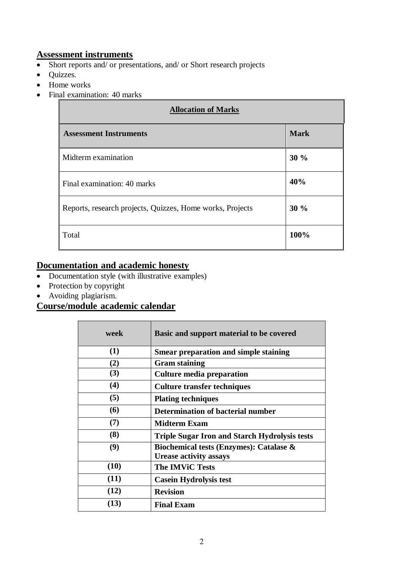## **Assessment instruments**

- Short reports and/ or presentations, and/ or Short research projects
- Quizzes.
- Home works
- Final examination: 40 marks

| <b>Allocation of Marks</b>                                |             |  |
|-----------------------------------------------------------|-------------|--|
| <b>Assessment Instruments</b>                             | <b>Mark</b> |  |
| Midterm examination                                       | 30%         |  |
| Final examination: 40 marks                               | 40%         |  |
| Reports, research projects, Quizzes, Home works, Projects | 30%         |  |
| Total                                                     | 100%        |  |

# **Documentation and academic honesty**

- Documentation style (with illustrative examples)
- Protection by copyright
- Avoiding plagiarism.

# **Course/module academic calendar**

| week       | Basic and support material to be covered                                 |
|------------|--------------------------------------------------------------------------|
| (1)        | <b>Smear preparation and simple staining</b>                             |
| (2)        | <b>Gram staining</b>                                                     |
| (3)        | <b>Culture media preparation</b>                                         |
| (4)        | <b>Culture transfer techniques</b>                                       |
| (5)        | <b>Plating techniques</b>                                                |
| <b>(6)</b> | Determination of bacterial number                                        |
| (7)        | <b>Midterm Exam</b>                                                      |
| (8)        | <b>Triple Sugar Iron and Starch Hydrolysis tests</b>                     |
| (9)        | Biochemical tests (Enzymes): Catalase &<br><b>Urease activity assays</b> |
| (10)       | <b>The IMViC Tests</b>                                                   |
| (11)       | <b>Casein Hydrolysis test</b>                                            |
| (12)       | <b>Revision</b>                                                          |
| (13)       | <b>Final Exam</b>                                                        |